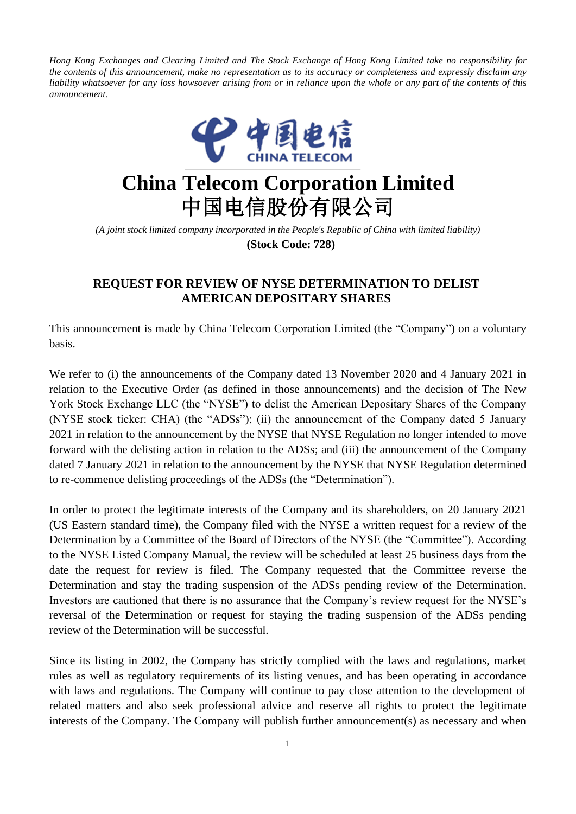Hong Kong Exchanges and Clearing Limited and The Stock Exchange of Hong Kong Limited take no responsibility for the contents of this announcement, make no representation as to its accuracy or completeness and expressly disclaim any liability whatsoever for any loss howsoever arising from or in reliance upon the whole or any part of the contents of this *announcement.*



## **China Telecom Corporation Limited** 中国电信股份有限公司

*(A joint stock limited company incorporated in the People's Republic of China with limited liability)* **(Stock Code: 728)**

## **REQUEST FOR REVIEW OF NYSE DETERMINATION TO DELIST AMERICAN DEPOSITARY SHARES**

This announcement is made by China Telecom Corporation Limited (the "Company") on a voluntary basis.

We refer to (i) the announcements of the Company dated 13 November 2020 and 4 January 2021 in relation to the Executive Order (as defined in those announcements) and the decision of The New York Stock Exchange LLC (the "NYSE") to delist the American Depositary Shares of the Company (NYSE stock ticker: CHA) (the "ADSs"); (ii) the announcement of the Company dated 5 January 2021 in relation to the announcement by the NYSE that NYSE Regulation no longer intended to move forward with the delisting action in relation to the ADSs; and (iii) the announcement of the Company dated 7 January 2021 in relation to the announcement by the NYSE that NYSE Regulation determined to re-commence delisting proceedings of the ADSs (the "Determination").

In order to protect the legitimate interests of the Company and its shareholders, on 20 January 2021 (US Eastern standard time), the Company filed with the NYSE a written request for a review of the Determination by a Committee of the Board of Directors of the NYSE (the "Committee"). According to the NYSE Listed Company Manual, the review will be scheduled at least 25 business days from the date the request for review is filed. The Company requested that the Committee reverse the Determination and stay the trading suspension of the ADSs pending review of the Determination. Investors are cautioned that there is no assurance that the Company's review request for the NYSE's reversal of the Determination or request for staying the trading suspension of the ADSs pending review of the Determination will be successful.

Since its listing in 2002, the Company has strictly complied with the laws and regulations, market rules as well as regulatory requirements of its listing venues, and has been operating in accordance with laws and regulations. The Company will continue to pay close attention to the development of related matters and also seek professional advice and reserve all rights to protect the legitimate interests of the Company. The Company will publish further announcement(s) as necessary and when